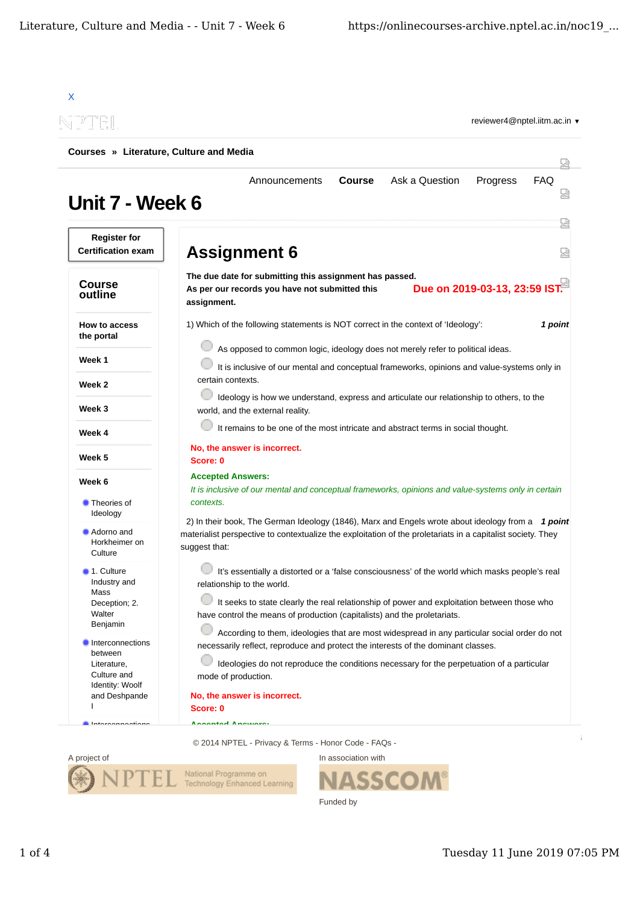



SSO Funded by

In association with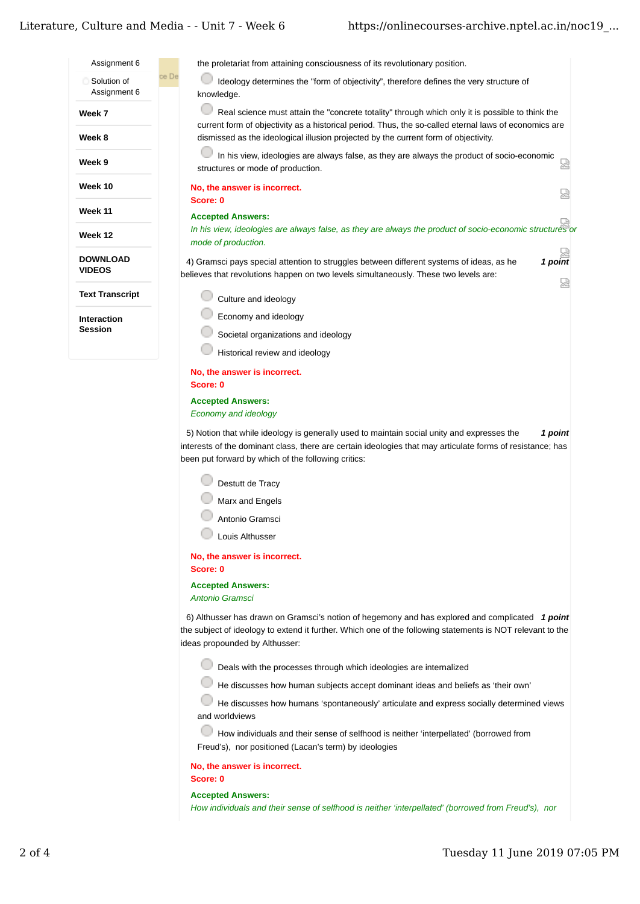# Literature. Culture and Media - - Unit 7 - Week 6

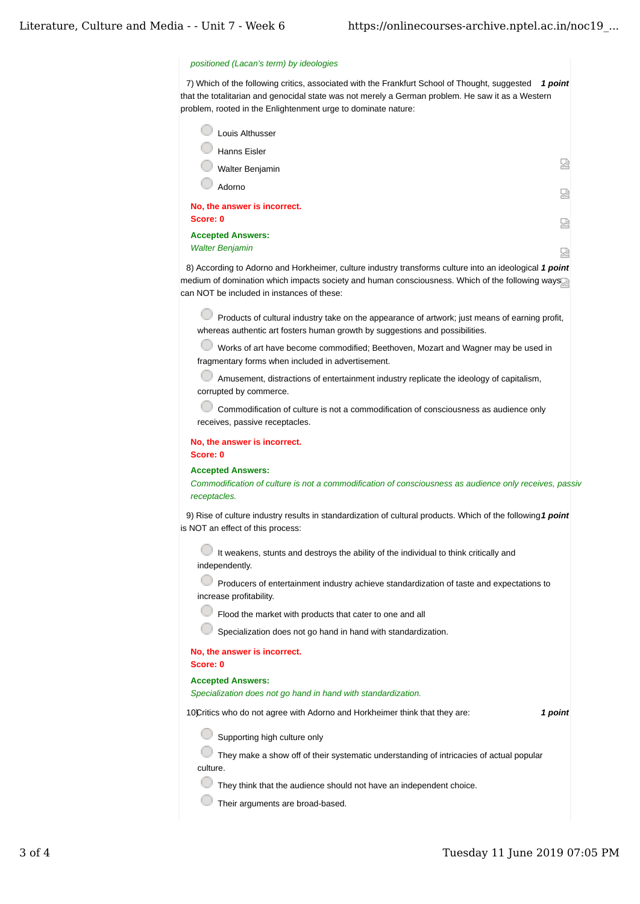## *positioned (Lacan's term) by ideologies*

7) Which of the following critics, associated with the Frankfurt School of Thought, suggested  $\,$  1  $point$ that the totalitarian and genocidal state was not merely a German problem. He saw it as a Western problem, rooted in the Enlightenment urge to dominate nature:

| Louis Althusser              |   |
|------------------------------|---|
| <b>Hanns Eisler</b>          |   |
| Walter Benjamin              | 덣 |
| Adorno                       | 덣 |
| No, the answer is incorrect. |   |
| Score: 0                     | 덣 |
| <b>Accepted Answers:</b>     |   |
| <b>Walter Benjamin</b>       | ₩ |

8) According to Adorno and Horkheimer, culture industry transforms culture into an ideological **1 point** medium of domination which impacts society and human consciousness. Which of the following ways can NOT be included in instances of these:

Products of cultural industry take on the appearance of artwork; just means of earning profit, whereas authentic art fosters human growth by suggestions and possibilities.

Works of art have become commodified; Beethoven, Mozart and Wagner may be used in fragmentary forms when included in advertisement.

Amusement, distractions of entertainment industry replicate the ideology of capitalism, corrupted by commerce.

Commodification of culture is not a commodification of consciousness as audience only receives, passive receptacles.

### **No, the answer is incorrect. Score: 0**

#### **Accepted Answers:**

*Commodification of culture is not a commodification of consciousness as audience only receives, passive receptacles.*

9) Rise of culture industry results in standardization of cultural products. Which of the following1 *point* is NOT an effect of this process:

It weakens, stunts and destroys the ability of the individual to think critically and independently.

**Producers of entertainment industry achieve standardization of taste and expectations to** increase profitability.

Flood the market with products that cater to one and all

Specialization does not go hand in hand with standardization.

# **No, the answer is incorrect.**

**Score: 0**

### **Accepted Answers:**

*Specialization does not go hand in hand with standardization.*

10) *1 point* Critics who do not agree with Adorno and Horkheimer think that they are:

Supporting high culture only

They make a show off of their systematic understanding of intricacies of actual popular culture.

They think that the audience should not have an independent choice.

Their arguments are broad-based.